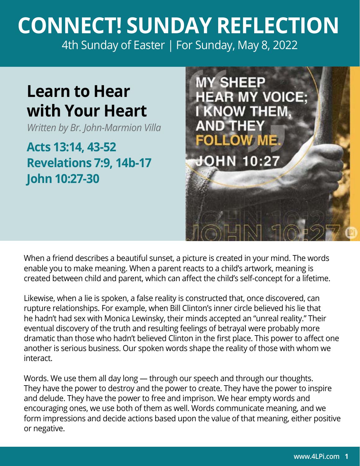## **CONNECT! SUNDAY REFLECTION** [4th Sunday of Easter | For Sunday, May 8, 2022](https://bible.usccb.org/bible/readings/050822.cfm)

## **Learn to Hear with Your Heart**

*Written by Br. John-Marmion Villa*

**Acts 13:14, 43-52 Revelations 7:9, 14b-17 John 10:27-30**



When a friend describes a beautiful sunset, a picture is created in your mind. The words enable you to make meaning. When a parent reacts to a child's artwork, meaning is created between child and parent, which can affect the child's self-concept for a lifetime.

Likewise, when a lie is spoken, a false reality is constructed that, once discovered, can rupture relationships. For example, when Bill Clinton's inner circle believed his lie that he hadn't had sex with Monica Lewinsky, their minds accepted an "unreal reality." Their eventual discovery of the truth and resulting feelings of betrayal were probably more dramatic than those who hadn't believed Clinton in the first place. This power to affect one another is serious business. Our spoken words shape the reality of those with whom we interact.

Words. We use them all day long — through our speech and through our thoughts. They have the power to destroy and the power to create. They have the power to inspire and delude. They have the power to free and imprison. We hear empty words and encouraging ones, we use both of them as well. Words communicate meaning, and we form impressions and decide actions based upon the value of that meaning, either positive or negative.